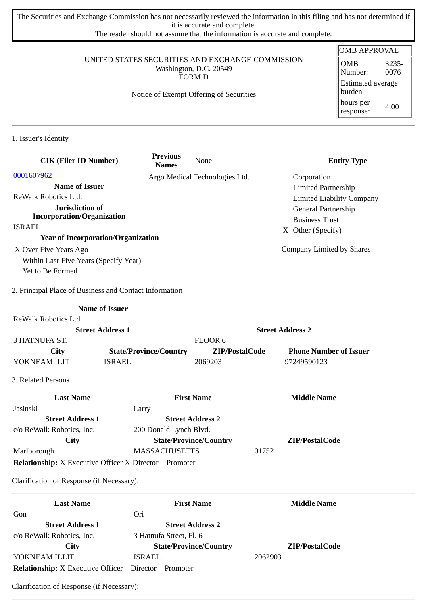The Securities and Exchange Commission has not necessarily reviewed the information in this filing and has not determined if it is accurate and complete.

The reader should not assume that the information is accurate and complete.

#### UNITED STATES SECURITIES AND EXCHANGE COMMISSION Washington, D.C. 20549 FORM D

#### Notice of Exempt Offering of Securities

#### OMB APPROVAL OMB Number: 3235- 0076 Estimated average burden hours per response: 4.00

1. Issuer's Identity

| <b>CIK (Filer ID Number)</b>                                 | <b>Previous</b><br><b>Names</b> | None                           | <b>Entity Type</b>               |
|--------------------------------------------------------------|---------------------------------|--------------------------------|----------------------------------|
| 0001607962                                                   |                                 | Argo Medical Technologies Ltd. | Corporation                      |
| <b>Name of Issuer</b>                                        |                                 |                                | <b>Limited Partnership</b>       |
| ReWalk Robotics Ltd.                                         |                                 |                                | <b>Limited Liability Company</b> |
| Jurisdiction of                                              |                                 |                                | General Partnership              |
| <b>Incorporation/Organization</b>                            |                                 |                                | <b>Business Trust</b>            |
| <b>ISRAEL</b>                                                |                                 |                                | X Other (Specify)                |
| <b>Year of Incorporation/Organization</b>                    |                                 |                                |                                  |
| X Over Five Years Ago                                        |                                 |                                | Company Limited by Shares        |
| Within Last Five Years (Specify Year)                        |                                 |                                |                                  |
| Yet to Be Formed                                             |                                 |                                |                                  |
| 2. Principal Place of Business and Contact Information       |                                 |                                |                                  |
|                                                              | <b>Name of Issuer</b>           |                                |                                  |
| ReWalk Robotics Ltd.                                         |                                 |                                |                                  |
| <b>Street Address 1</b>                                      |                                 |                                | <b>Street Address 2</b>          |
| 3 HATNUFA ST.                                                |                                 | FLOOR 6                        |                                  |
| <b>City</b>                                                  | <b>State/Province/Country</b>   | ZIP/PostalCode                 | <b>Phone Number of Issuer</b>    |
| YOKNEAM ILIT                                                 | <b>ISRAEL</b>                   | 2069203                        | 97249590123                      |
| 3. Related Persons                                           |                                 |                                |                                  |
| <b>Last Name</b>                                             |                                 | <b>First Name</b>              | <b>Middle Name</b>               |
| Jasinski                                                     | Larry                           |                                |                                  |
| <b>Street Address 1</b>                                      |                                 | <b>Street Address 2</b>        |                                  |
| c/o ReWalk Robotics, Inc.                                    | 200 Donald Lynch Blvd.          |                                |                                  |
| City                                                         |                                 | <b>State/Province/Country</b>  | ZIP/PostalCode                   |
| Marlborough                                                  | <b>MASSACHUSETTS</b>            |                                | 01752                            |
| <b>Relationship:</b> X Executive Officer X Director Promoter |                                 |                                |                                  |
| Clarification of Response (if Necessary):                    |                                 |                                |                                  |
| <b>Last Name</b>                                             |                                 | <b>First Name</b>              | <b>Middle Name</b>               |
| Gon                                                          | Ori                             |                                |                                  |
| <b>Street Address 1</b>                                      |                                 | <b>Street Address 2</b>        |                                  |
| c/o ReWalk Robotics, Inc.                                    | 3 Hatnufa Street, Fl. 6         |                                |                                  |
| City                                                         |                                 | <b>State/Province/Country</b>  | ZIP/PostalCode                   |

YOKNEAM ILLIT ISRAEL 2062903 **Relationship:** X Executive Officer Director Promoter

Clarification of Response (if Necessary):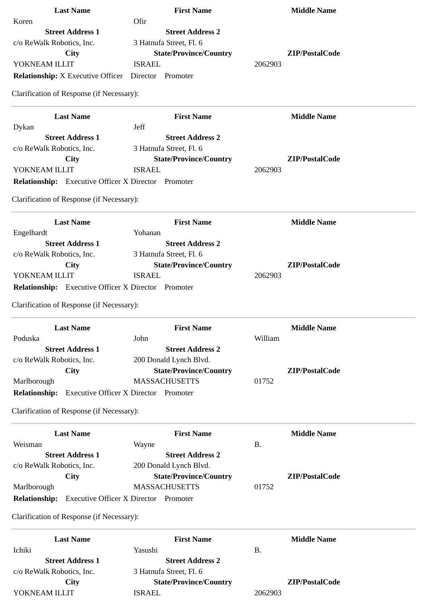| <b>Last Name</b>                                           | <b>First Name</b>                            | <b>Middle Name</b> |
|------------------------------------------------------------|----------------------------------------------|--------------------|
| Koren                                                      | Ofir                                         |                    |
| <b>Street Address 1</b>                                    | <b>Street Address 2</b>                      |                    |
| c/o ReWalk Robotics, Inc.                                  | 3 Hatnufa Street, Fl. 6                      |                    |
| <b>City</b>                                                | <b>State/Province/Country</b>                | ZIP/PostalCode     |
| YOKNEAM ILLIT                                              | <b>ISRAEL</b>                                | 2062903            |
| <b>Relationship:</b> X Executive Officer Director Promoter |                                              |                    |
| Clarification of Response (if Necessary):                  |                                              |                    |
| <b>Last Name</b>                                           | <b>First Name</b>                            | <b>Middle Name</b> |
| Dykan                                                      | Jeff                                         |                    |
| <b>Street Address 1</b>                                    | <b>Street Address 2</b>                      |                    |
| c/o ReWalk Robotics, Inc.                                  | 3 Hatnufa Street, Fl. 6                      |                    |
| <b>City</b>                                                | <b>State/Province/Country</b>                | ZIP/PostalCode     |
| YOKNEAM ILLIT                                              | <b>ISRAEL</b>                                | 2062903            |
| <b>Relationship:</b> Executive Officer X Director Promoter |                                              |                    |
| Clarification of Response (if Necessary):                  |                                              |                    |
| <b>Last Name</b>                                           | <b>First Name</b>                            | <b>Middle Name</b> |
| Engelhardt                                                 | Yohanan                                      |                    |
| <b>Street Address 1</b>                                    | <b>Street Address 2</b>                      |                    |
| c/o ReWalk Robotics, Inc.                                  | 3 Hatnufa Street, Fl. 6                      |                    |
| <b>City</b>                                                | <b>State/Province/Country</b>                | ZIP/PostalCode     |
| YOKNEAM ILLIT                                              | <b>ISRAEL</b>                                | 2062903            |
| Relationship: Executive Officer X Director Promoter        |                                              |                    |
| Clarification of Response (if Necessary):                  |                                              |                    |
| <b>Last Name</b>                                           | <b>First Name</b>                            | <b>Middle Name</b> |
| Poduska                                                    | John                                         | William            |
| <b>Street Address 1</b>                                    | <b>Street Address 2</b>                      |                    |
| c/o ReWalk Robotics, Inc.                                  | 200 Donald Lynch Blvd.                       |                    |
| <b>City</b>                                                | <b>State/Province/Country</b>                | ZIP/PostalCode     |
| Marlborough                                                | <b>MASSACHUSETTS</b>                         | 01752              |
| <b>Relationship:</b>                                       | <b>Executive Officer X Director Promoter</b> |                    |
| Clarification of Response (if Necessary):                  |                                              |                    |
| <b>Last Name</b>                                           | <b>First Name</b>                            | <b>Middle Name</b> |
| Weisman                                                    | Wayne                                        | <b>B.</b>          |
| <b>Street Address 1</b>                                    | <b>Street Address 2</b>                      |                    |
| c/o ReWalk Robotics, Inc.                                  | 200 Donald Lynch Blvd.                       |                    |
| City                                                       | <b>State/Province/Country</b>                | ZIP/PostalCode     |
| Marlborough                                                | <b>MASSACHUSETTS</b>                         | 01752              |
| Relationship: Executive Officer X Director Promoter        |                                              |                    |
| Clarification of Response (if Necessary):                  |                                              |                    |
| <b>Last Name</b>                                           | <b>First Name</b>                            | <b>Middle Name</b> |
| Ichiki                                                     | Yasushi                                      | <b>B.</b>          |
| <b>Street Address 1</b>                                    | <b>Street Address 2</b>                      |                    |
| c/o ReWalk Robotics, Inc.                                  | 3 Hatnufa Street, Fl. 6                      |                    |
| City                                                       | <b>State/Province/Country</b>                | ZIP/PostalCode     |
| YOKNEAM ILLIT                                              | <b>ISRAEL</b>                                | 2062903            |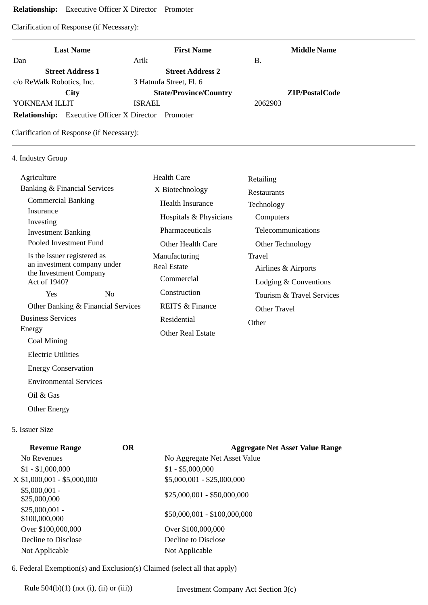## **Relationship:** Executive Officer X Director Promoter

Clarification of Response (if Necessary):

| <b>Last Name</b>          |                                                   | <b>First Name</b>             | <b>Middle Name</b>    |
|---------------------------|---------------------------------------------------|-------------------------------|-----------------------|
| Dan                       | Arik                                              | В.                            |                       |
| <b>Street Address 1</b>   |                                                   | <b>Street Address 2</b>       |                       |
| c/o ReWalk Robotics, Inc. | 3 Hatnufa Street, Fl. 6                           |                               |                       |
| City                      |                                                   | <b>State/Province/Country</b> | <b>ZIP/PostalCode</b> |
| YOKNEAM ILLIT             | <b>ISRAEL</b>                                     | 2062903                       |                       |
|                           | <b>Relationship:</b> Executive Officer X Director | Promoter                      |                       |

Clarification of Response (if Necessary):

## 4. Industry Group

| Agriculture                                                                                          |                                    | Health Care                | Retailing                 |  |
|------------------------------------------------------------------------------------------------------|------------------------------------|----------------------------|---------------------------|--|
| <b>Banking &amp; Financial Services</b>                                                              |                                    | X Biotechnology            | <b>Restaurants</b>        |  |
| <b>Commercial Banking</b>                                                                            |                                    | Health Insurance           | Technology                |  |
| Insurance                                                                                            |                                    | Hospitals & Physicians     | Computers                 |  |
| Investing<br><b>Investment Banking</b>                                                               |                                    | Pharmaceuticals            | Telecommunications        |  |
| Pooled Investment Fund                                                                               |                                    | Other Health Care          | Other Technology          |  |
| Is the issuer registered as<br>an investment company under<br>the Investment Company<br>Act of 1940? |                                    | Manufacturing              | Travel                    |  |
|                                                                                                      |                                    | Real Estate                | Airlines & Airports       |  |
|                                                                                                      |                                    | Commercial                 | Lodging & Conventions     |  |
| <b>Yes</b>                                                                                           | N <sub>0</sub>                     | Construction               | Tourism & Travel Services |  |
|                                                                                                      | Other Banking & Financial Services | <b>REITS &amp; Finance</b> | Other Travel              |  |
| <b>Business Services</b>                                                                             |                                    | Residential                | Other                     |  |
| Energy                                                                                               |                                    | Other Real Estate          |                           |  |
| Coal Mining                                                                                          |                                    |                            |                           |  |
| <b>Electric Utilities</b>                                                                            |                                    |                            |                           |  |

Energy Conservation

Environmental Services

Oil & Gas

Other Energy

# 5. Issuer Size

| <b>Revenue Range</b>             | <b>OR</b> | <b>Aggregate Net Asset Value Range</b> |
|----------------------------------|-----------|----------------------------------------|
| No Revenues                      |           | No Aggregate Net Asset Value           |
| $$1 - $1,000,000$                |           | $$1 - $5,000,000$                      |
| X \$1,000,001 - \$5,000,000      |           | \$5,000,001 - \$25,000,000             |
| $$5,000,001 -$<br>\$25,000,000   |           | $$25,000,001 - $50,000,000$            |
| $$25,000,001 -$<br>\$100,000,000 |           | \$50,000,001 - \$100,000,000           |
| Over \$100,000,000               |           | Over \$100,000,000                     |
| Decline to Disclose              |           | Decline to Disclose                    |
| Not Applicable                   |           | Not Applicable                         |
|                                  |           |                                        |

6. Federal Exemption(s) and Exclusion(s) Claimed (select all that apply)

Rule 504(b)(1) (not (i), (ii) or (iii)) Investment Company Act Section 3(c)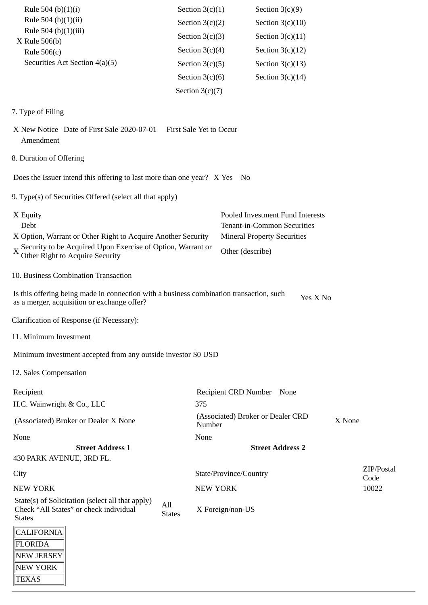| Rule 504 (b)(1)(i)<br>Rule 504 (b)(1)(ii)<br>Rule 504 (b)(1)(iii)                                                                                                |                      | Section $3(c)(1)$<br>Section $3(c)(2)$<br>Section $3(c)(3)$ | Section $3(c)(9)$<br>Section $3(c)(10)$<br>Section $3(c)(11)$   |          |                    |
|------------------------------------------------------------------------------------------------------------------------------------------------------------------|----------------------|-------------------------------------------------------------|-----------------------------------------------------------------|----------|--------------------|
| X Rule 506(b)                                                                                                                                                    |                      | Section $3(c)(4)$                                           | Section $3(c)(12)$                                              |          |                    |
| Rule $506(c)$<br>Securities Act Section 4(a)(5)                                                                                                                  |                      | Section $3(c)(5)$                                           | Section $3(c)(13)$                                              |          |                    |
|                                                                                                                                                                  |                      | Section $3(c)(6)$                                           | Section $3(c)(14)$                                              |          |                    |
|                                                                                                                                                                  | Section $3(c)(7)$    |                                                             |                                                                 |          |                    |
|                                                                                                                                                                  |                      |                                                             |                                                                 |          |                    |
| 7. Type of Filing                                                                                                                                                |                      |                                                             |                                                                 |          |                    |
| X New Notice Date of First Sale 2020-07-01<br>Amendment                                                                                                          |                      | First Sale Yet to Occur                                     |                                                                 |          |                    |
| 8. Duration of Offering                                                                                                                                          |                      |                                                             |                                                                 |          |                    |
| Does the Issuer intend this offering to last more than one year? X Yes                                                                                           |                      | No                                                          |                                                                 |          |                    |
| 9. Type(s) of Securities Offered (select all that apply)                                                                                                         |                      |                                                             |                                                                 |          |                    |
| X Equity<br>Debt                                                                                                                                                 |                      |                                                             | Pooled Investment Fund Interests<br>Tenant-in-Common Securities |          |                    |
| X Option, Warrant or Other Right to Acquire Another Security<br>X Security to be Acquired Upon Exercise of Option, Warrant or<br>Other Right to Acquire Security |                      | Other (describe)                                            | <b>Mineral Property Securities</b>                              |          |                    |
| 10. Business Combination Transaction                                                                                                                             |                      |                                                             |                                                                 |          |                    |
| Is this offering being made in connection with a business combination transaction, such<br>as a merger, acquisition or exchange offer?                           |                      |                                                             |                                                                 | Yes X No |                    |
| Clarification of Response (if Necessary):                                                                                                                        |                      |                                                             |                                                                 |          |                    |
| 11. Minimum Investment                                                                                                                                           |                      |                                                             |                                                                 |          |                    |
| Minimum investment accepted from any outside investor \$0 USD                                                                                                    |                      |                                                             |                                                                 |          |                    |
| 12. Sales Compensation                                                                                                                                           |                      |                                                             |                                                                 |          |                    |
| Recipient                                                                                                                                                        |                      | Recipient CRD Number None                                   |                                                                 |          |                    |
| H.C. Wainwright & Co., LLC                                                                                                                                       |                      | 375                                                         |                                                                 |          |                    |
| (Associated) Broker or Dealer X None                                                                                                                             |                      | Number                                                      | (Associated) Broker or Dealer CRD                               | X None   |                    |
| None                                                                                                                                                             |                      | None                                                        |                                                                 |          |                    |
| <b>Street Address 1</b><br>430 PARK AVENUE, 3RD FL.                                                                                                              |                      |                                                             | <b>Street Address 2</b>                                         |          |                    |
| City                                                                                                                                                             |                      | State/Province/Country                                      |                                                                 |          | ZIP/Postal<br>Code |
| <b>NEW YORK</b>                                                                                                                                                  |                      | <b>NEW YORK</b>                                             |                                                                 |          | 10022              |
| State(s) of Solicitation (select all that apply)<br>Check "All States" or check individual<br><b>States</b>                                                      | All<br><b>States</b> | X Foreign/non-US                                            |                                                                 |          |                    |
| CALIFORNIA<br>FLORIDA                                                                                                                                            |                      |                                                             |                                                                 |          |                    |
| NEW JERSEY                                                                                                                                                       |                      |                                                             |                                                                 |          |                    |
| NEW YORK<br><b>TEXAS</b>                                                                                                                                         |                      |                                                             |                                                                 |          |                    |
|                                                                                                                                                                  |                      |                                                             |                                                                 |          |                    |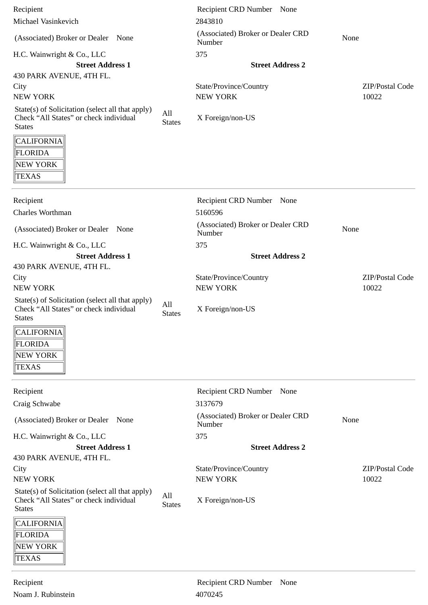| Recipient                                                                                                     |                      | Recipient CRD Number None                   |                 |
|---------------------------------------------------------------------------------------------------------------|----------------------|---------------------------------------------|-----------------|
| Michael Vasinkevich                                                                                           |                      | 2843810                                     |                 |
| (Associated) Broker or Dealer<br>None                                                                         |                      | (Associated) Broker or Dealer CRD<br>Number | None            |
| H.C. Wainwright & Co., LLC                                                                                    |                      | 375                                         |                 |
| <b>Street Address 1</b>                                                                                       |                      | <b>Street Address 2</b>                     |                 |
| 430 PARK AVENUE, 4TH FL.                                                                                      |                      |                                             |                 |
| City                                                                                                          |                      | State/Province/Country                      | ZIP/Postal Code |
| <b>NEW YORK</b>                                                                                               |                      | <b>NEW YORK</b>                             | 10022           |
| State(s) of Solicitation (select all that apply)<br>Check "All States" or check individual<br><b>States</b>   | All<br><b>States</b> | X Foreign/non-US                            |                 |
| <b>CALIFORNIA</b><br>FLORIDA<br>NEW YORK<br><b>TEXAS</b>                                                      |                      |                                             |                 |
|                                                                                                               |                      |                                             |                 |
| Recipient<br>Charles Worthman                                                                                 |                      | Recipient CRD Number None<br>5160596        |                 |
| (Associated) Broker or Dealer<br>None                                                                         |                      | (Associated) Broker or Dealer CRD<br>Number | None            |
| H.C. Wainwright & Co., LLC                                                                                    |                      | 375                                         |                 |
| <b>Street Address 1</b>                                                                                       |                      | <b>Street Address 2</b>                     |                 |
| 430 PARK AVENUE, 4TH FL.                                                                                      |                      |                                             |                 |
| City                                                                                                          |                      | State/Province/Country                      | ZIP/Postal Code |
| <b>NEW YORK</b>                                                                                               |                      | <b>NEW YORK</b>                             | 10022           |
| State(s) of Solicitation (select all that apply)<br>Check "All States" or check individual<br><b>States</b>   | All<br><b>States</b> | X Foreign/non-US                            |                 |
| $\overline{\phantom{a}}$<br><b>CALIFORNIA</b>                                                                 |                      |                                             |                 |
| FLORIDA<br>NEW YORK<br><b>TEXAS</b>                                                                           |                      |                                             |                 |
|                                                                                                               |                      |                                             |                 |
| Recipient<br>Craig Schwabe                                                                                    |                      | Recipient CRD Number None<br>3137679        |                 |
| (Associated) Broker or Dealer<br>None                                                                         |                      | (Associated) Broker or Dealer CRD<br>Number | None            |
| H.C. Wainwright & Co., LLC                                                                                    |                      | 375                                         |                 |
| <b>Street Address 1</b>                                                                                       |                      | <b>Street Address 2</b>                     |                 |
| 430 PARK AVENUE, 4TH FL.                                                                                      |                      |                                             |                 |
| City                                                                                                          |                      | State/Province/Country                      | ZIP/Postal Code |
| <b>NEW YORK</b><br>State(s) of Solicitation (select all that apply)<br>Check "All States" or check individual | All                  | <b>NEW YORK</b><br>X Foreign/non-US         | 10022           |
| <b>States</b>                                                                                                 | <b>States</b>        |                                             |                 |
| <b>CALIFORNIA</b><br>FLORIDA<br>NEW YORK<br>TEXAS                                                             |                      |                                             |                 |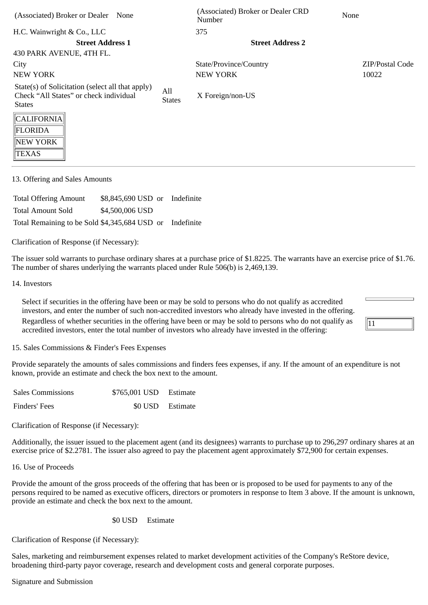| (Associated) Broker or Dealer<br>None                                                                       |                      | (Associated) Broker or Dealer CRD<br>Number | <b>None</b>            |
|-------------------------------------------------------------------------------------------------------------|----------------------|---------------------------------------------|------------------------|
| H.C. Wainwright & Co., LLC                                                                                  |                      | 375                                         |                        |
| <b>Street Address 1</b>                                                                                     |                      | <b>Street Address 2</b>                     |                        |
| 430 PARK AVENUE, 4TH FL.                                                                                    |                      |                                             |                        |
| City                                                                                                        |                      | State/Province/Country                      | <b>ZIP/Postal Code</b> |
| NEW YORK                                                                                                    |                      | <b>NEW YORK</b>                             | 10022                  |
| State(s) of Solicitation (select all that apply)<br>Check "All States" or check individual<br><b>States</b> | All<br><b>States</b> | X Foreign/non-US                            |                        |
| CALIFORNIA <br>FLORIDA<br>NEW YORK<br>TEXAS                                                                 |                      |                                             |                        |

13. Offering and Sales Amounts

Total Offering Amount \$8,845,690 USD or Indefinite Total Amount Sold \$4,500,006 USD Total Remaining to be Sold \$4,345,684 USD or Indefinite

Clarification of Response (if Necessary):

The issuer sold warrants to purchase ordinary shares at a purchase price of \$1.8225. The warrants have an exercise price of \$1.76. The number of shares underlying the warrants placed under Rule 506(b) is 2,469,139.

### 14. Investors

Select if securities in the offering have been or may be sold to persons who do not qualify as accredited investors, and enter the number of such non-accredited investors who already have invested in the offering. Regardless of whether securities in the offering have been or may be sold to persons who do not qualify as

accredited investors, enter the total number of investors who already have invested in the offering:

 $\vert$ 11

15. Sales Commissions & Finder's Fees Expenses

Provide separately the amounts of sales commissions and finders fees expenses, if any. If the amount of an expenditure is not known, provide an estimate and check the box next to the amount.

| <b>Sales Commissions</b> | \$765,001 USD Estimate |                  |
|--------------------------|------------------------|------------------|
| Finders' Fees            |                        | \$0 USD Estimate |

Clarification of Response (if Necessary):

Additionally, the issuer issued to the placement agent (and its designees) warrants to purchase up to 296,297 ordinary shares at an exercise price of \$2.2781. The issuer also agreed to pay the placement agent approximately \$72,900 for certain expenses.

16. Use of Proceeds

Provide the amount of the gross proceeds of the offering that has been or is proposed to be used for payments to any of the persons required to be named as executive officers, directors or promoters in response to Item 3 above. If the amount is unknown, provide an estimate and check the box next to the amount.

## \$0 USD Estimate

Clarification of Response (if Necessary):

Sales, marketing and reimbursement expenses related to market development activities of the Company's ReStore device, broadening third-party payor coverage, research and development costs and general corporate purposes.

Signature and Submission